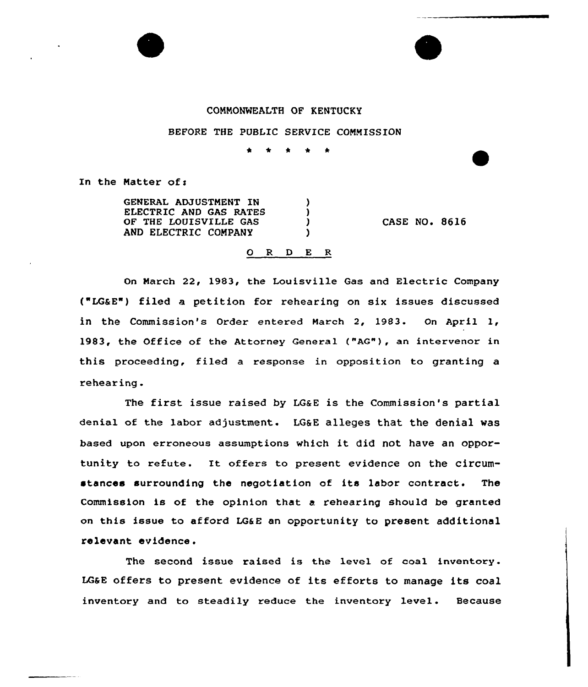## CONNONWEALTH OF KENTUCKY

## BEFORE THE PUBLIC SERVICE CONNISSION

In the Matter of:

GENERAL ADJUSTNENT IN ELECTRIC AND GAS RATES OF THE LOUISVILLE GAS AND ELECTRIC COMPANY

CASE NO. 8616

## 0 R <sup>D</sup> E R

Δ  $\mathbf{I}$  $\mathbf{I}$ Y

On March 22, 1983, the Louisville Gas and Electric Company ("LG&E") filed a petition for rehearing on six issues discussed<br>in the Commission's Order entered March 2, 1983. On April 1, 1983< the Office of the Attorney General {"AG"), an intervenor in this proceeding, filed a response in opposition to granting a rehear ing .

The first issue raised by  $L G_{\&}E$  is the Commission's partial denial of the labor adjustment. LG&E alleges that the denial was based upon erroneous assumptions which it did not have an opportunity to refute. It offers to present evidence on the circumstances surrounding the negotiation of its labor contract. The Commission is of the opinion that a rehearing should be granted on this issue to afford LG&E an opportunity to present additional relevant evidence.

The second issue raised is the level of coal inventory. LG&E offers to present evidence of its efforts to manage its coal inventory and to steadily reduce the inventory level. Because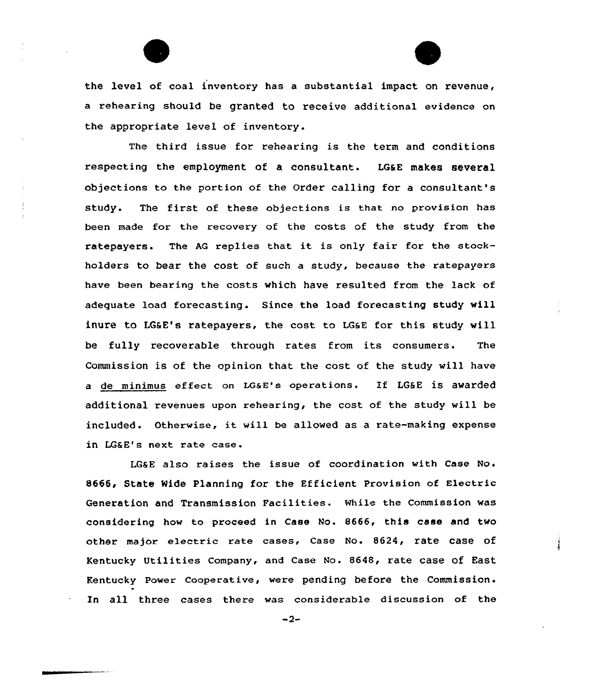the level of coal inventory has a substantial impact on revenue, a rehearing should be granted to receive additional evidence on the appropriate level of inventory.

The third issue for rehearing is the term and conditions respecting the employment of a consultant. LG&E makes several objections to the portion of the Order calling for a consultant's study. The first of these objections is that no provision has been made for the recovery of the costs of the study from the ratepayers. The AQ replies that it is only fair for the stockholders to bear the cost of such a study, because the ratepayers have been bearing the costs which have resulted from the lack of adequate load forecasting. Since the load forecasting study will inure to LG&E's ratepayers, the cost to LG&E for this study will be fully recoverable through rates from its consumers. The Commission is of the opinion that the cost of the study will have a de minimus effect on LGaE's operations. If LG&E is awarded additional revenues upon rehearing, the cost of the study will be included. Otherwise, it will be allowed as <sup>a</sup> rate-making expense in LG&E's next rate case.

LG6E also raises the issue of coordination with Case No. 8666, State Ride Planning for the Efficient Provision of Electric Generation and Transmission Facilities. While the Commission was considering how to proceed in Case No. 8666, this case and two other major electric rate cases, Case No. 8624, rate CaSe Of Kentucky Utilities Company, and Case No. 8648, rate case of East Kentucky Power Cooperative, were pending before the Commission In all three cases there was considerable discussion of the

 $-2-$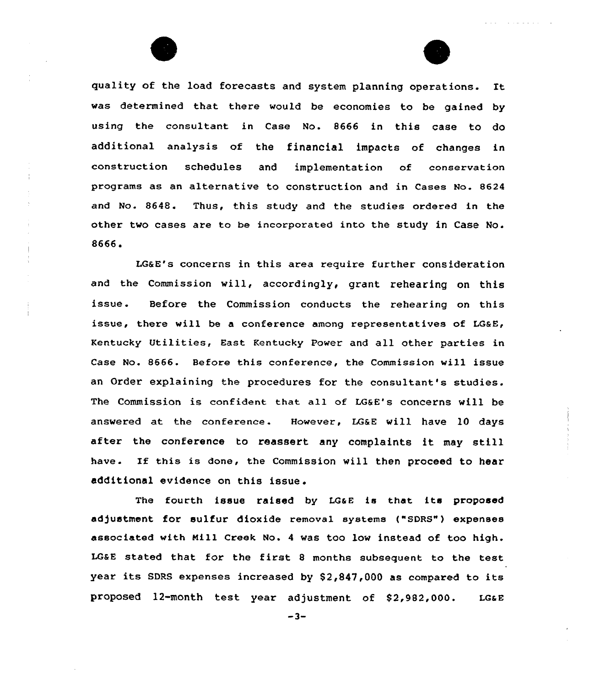



quality of the load forecasts and system planning operations. It was determined that there would be economies to be gained by using the consultant in Case No. 8666 in this case to do additional analysis of the financial impacts of changes in construction schedules and implementation of conservation programs as an alternative to construction and in Cases No. 8624 and No. 8648. Thus, this study and the studies ordered in the other two cases are to be incorporated into the study in Case No. 8666.

LG&E's concerns in this area require further consideration and the Commission will, accordingly, grant rehearing on this issue. Before the Commission conducts the rehearing on this issue, there will be a conference among representatives of LG&E, Kentucky Utilities, East Kentucky Power and all other parties in Case No. 8666. Before this conference, the Commission will issue an Order explaining the procedures for the consultant's studies. The Commission is confident that all of LG&E's concerns will be answered at the conference. However, LG&E vill have 10 days after the conference to reassert any complaints it may still have. If this is done, the Commission will then proceed to hear additional evidence on this issue.

The fourth issue raised by LG&E is that its proposed adjustment for sulfur dioxide removal systems ("SDRS") expenses associated with Mill Creek No. <sup>4</sup> was too low instead of too high. LG&E stated that for the first <sup>8</sup> months subsequent to the test year its SDRS expenses increased by  $$2,847,000$  as compared to its proposed 12-month test year adjustment of \$2,982,000. LG&E

 $-3-$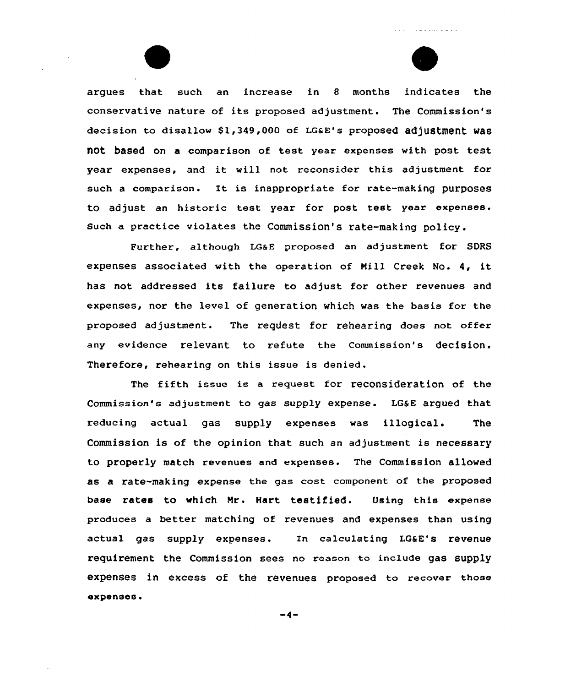argues that such an increase in 8 months indicates the conservative nature of its proposed adjustment. The Commission's decision to disallow \$1,349,000 of LG&E's proposed adjustment was not based on a comparison of test year expenses with post test year expenses, and it will not reconsider this adjustment for such <sup>a</sup> comparison. It is inappropriate for rate-making purposes to adjust an historic test year for post test year expenses. such a practice violates the Commission's rate-making policy.

a sa salawa

Further, although LGaE proposed an adjustment for SDRS expenses associated with the operation of Mill Creek No. 4, it has not addressed its failure to adjust for other revenues and expenses, nor the level of generation which was the basis for the proposed adjustment. The request for rehearing does not offer any evidence relevant to refute the Commission's decision. Therefore, rehearing on this issue is denied.

The fifth issue is a request for reconsideration of the Commission's adjustment to gas supply expense. LG&E argued that reducing actual gas supply expenses was illogical. The Commission is of the opinion that such an adjustment is necessary to properly match revenues and expenses. The Commission allowed as a rate-making expense the gas cost component of the proposed base rates to which Nr. Hart testified. Using this expense produces a better matching of revenues and expenses than using actual gas supply expenses. In calculating LG&E's revenue requirement the Commission sees no reason to include gas supply expenses in excess of the revenues proposed to recover those expenses.

 $-4-$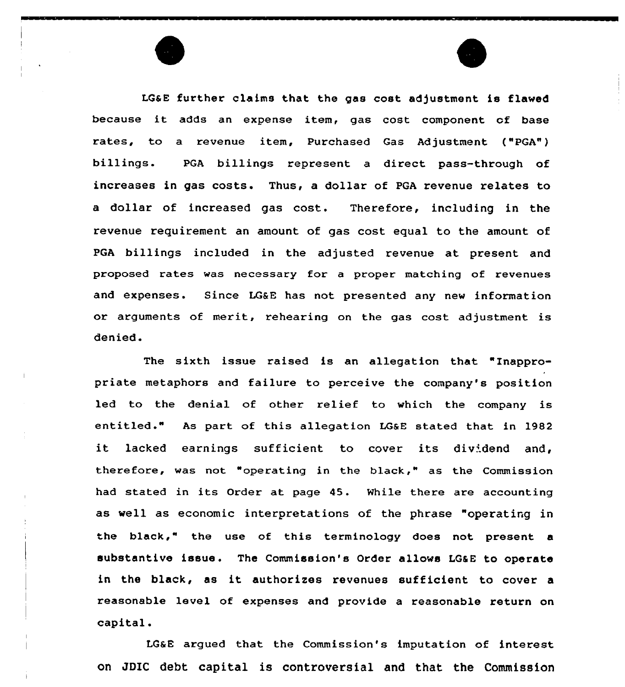LGaE further claims that the gas cost adjustment is flawed because it adds an expense item, gas cost component of base rates, to a revenue item, Purchased Gas Adjustment ("PGA") billings. PGA billings represent a direct pass-through of increases in gas costs. Thus, a dollar of PGA revenue relates to a dollar of increased gas cost. Therefore, including in the revenue requirement an amount of gas cost equal to the amount of PGA billings included in the adjusted revenue at present and proposed rates was necessary for a proper matching of revenues and expenses. Since LG&E has not presented any new information or arguments of merit, rehearing on the gas cost adjustment is denied.

The sixth issue raised is an allegation that "Inappropriate metaphors and failure to perceive the company's position led to the denial of other relief to which the company is entitled." As part of this allegation LGsE stated that in 1982 it lacked earnings sufficient to cover its dividend and, therefore, was not "operating in the black," as the Commission had stated in its Order at page 45. Nhile there are accounting as well as economic interpretations of the phrase "operating in the black," the use of this terminology does not present a substantive issue . The Commission's Order allows LGSE to operate in the black, as it authorizes revenues sufficient to cover <sup>a</sup> reasonable level of expenses and provide a reasonable return on capital.

LGSB argued that the Commission's imputation of interest on JDIC debt capital is controversial and that the Commission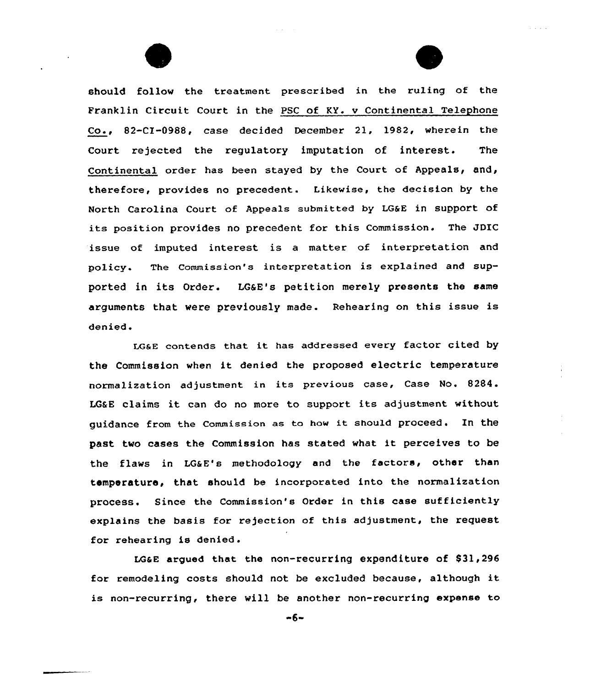should follow the treatment prescribed in the ruling of the Franklin Circuit Court in the PSC of KY. v Continental Telephone Co., 82-CX-0988, case decided December 21, 1982, wherein the Court rejected the regulatory imputation of interest. The Continental order has been stayed by the Court of Appeals, and, therefore, provides no precedent. Likewise, the decision by the North Carolina Court of Appeals submitted by LG&E in support of its position provides no precedent for this Commission. The JDIC issue of imputed interest is a matter of interpretation and policy. The Commission's interpretation is explained and supported in its Order. LG&E's petition merely presents the same arguments that were previously made. Rehearing on this issue is denied.

LG&E contends that it has addressed every factor cited by the Commission when it denied the proposed electric temperature normalization adjustment in its previous case, Case No. 8284. LG&E claims it can do no more to support its adjustment without guidance from the Commission as to how it should proceed. In the past two cases the Commission has stated what it perceives to be the flaws in LG&E's methodology and the factors, other than temperature, that should be incorporated into the normalization process. Since the Commission's Order in this case sufficiently explains the basis for rejection of this adjustment, the request for rehearing is denied.

LGGE argued that the non-recurring expenditure of  $$31,296$ for remodeling costs should not be excluded because, although it is non-recurring, there will be another non-recurring expense to

 $-6-$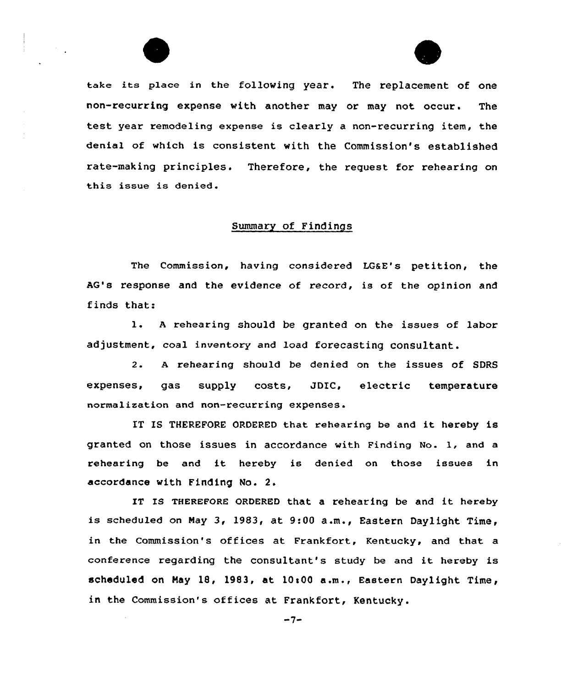

take its place in the following year. The replacement of one non-recurring expense with another may or may not occur. The test year remodeling expense is clearly a non-recurring item, the denial of which is consistent with the Commission's estab1ished rate-making principles. Therefore, the request for rehearing on this issue is denied.

## Summary of Findings

The Commission, having considered LG&E's petition, the AG's response and the evidence of record, is of the opinion and finds that:

l. <sup>A</sup> rehearing should be granted on the issues of labor adjustment, coal inventory and load forecasting consultant.

2. <sup>A</sup> rehearing should be denied on the issues of SDRS expenses, gas supply costs, JDIC, electric tempe<mark>ra</mark>tur normalization and non-recurring expenses.

IT IS THEREFORE ORDERED that rehearing be and it hereby is granted on those issues in accordance with Finding No. l, and <sup>a</sup> rehearing be and it hereby is denied on those issues in accordance with Finding No. 2.

IT IS THEREFORE ORDERED that a rehearing be and it hereby is scheduled on Nay 3, 1983, at 9:00 a.m., Eastern Daylight Time, in the Commission's offices at Frankfort, Kentucky, and that a conference regarding the consultant's study be and it hereby is scheduled on May 18, 1983, at  $10:00$  a.m., Eastern Daylight Time, in the Commission's offices at Frankfort, Kentucky.

 $-7-$